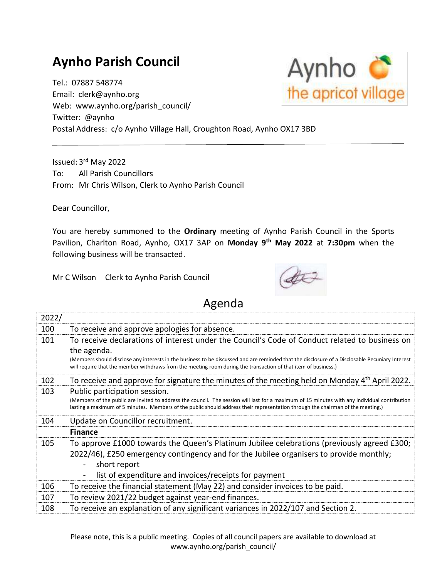## **Aynho Parish Council**

Tel.: 07887 548774 Email: clerk@aynho.org Web: www.aynho.org/parish\_council/ Twitter: @aynho Postal Address: c/o Aynho Village Hall, Croughton Road, Aynho OX17 3BD

Issued: 3<sup>rd</sup> May 2022 To: All Parish Councillors From: Mr Chris Wilson, Clerk to Aynho Parish Council

Dear Councillor,

You are hereby summoned to the **Ordinary** meeting of Aynho Parish Council in the Sports Pavilion, Charlton Road, Aynho, OX17 3AP on **Monday 9 th May 2022** at **7:30pm** when the following business will be transacted.

Mr C Wilson Clerk to Aynho Parish Council



## Agenda

| 2022/ |                                                                                                                                                                                                                                                                                                                   |
|-------|-------------------------------------------------------------------------------------------------------------------------------------------------------------------------------------------------------------------------------------------------------------------------------------------------------------------|
| 100   | To receive and approve apologies for absence.                                                                                                                                                                                                                                                                     |
| 101   | To receive declarations of interest under the Council's Code of Conduct related to business on<br>the agenda.                                                                                                                                                                                                     |
|       | (Members should disclose any interests in the business to be discussed and are reminded that the disclosure of a Disclosable Pecuniary Interest<br>will require that the member withdraws from the meeting room during the transaction of that item of business.)                                                 |
| 102   | To receive and approve for signature the minutes of the meeting held on Monday 4 <sup>th</sup> April 2022.                                                                                                                                                                                                        |
| 103   | Public participation session.<br>(Members of the public are invited to address the council. The session will last for a maximum of 15 minutes with any individual contribution<br>lasting a maximum of 5 minutes. Members of the public should address their representation through the chairman of the meeting.) |
| 104   | Update on Councillor recruitment.                                                                                                                                                                                                                                                                                 |
|       | <b>Finance</b>                                                                                                                                                                                                                                                                                                    |
| 105   | To approve £1000 towards the Queen's Platinum Jubilee celebrations (previously agreed £300;<br>2022/46), £250 emergency contingency and for the Jubilee organisers to provide monthly;<br>short report                                                                                                            |
|       | list of expenditure and invoices/receipts for payment                                                                                                                                                                                                                                                             |
| 106   | To receive the financial statement (May 22) and consider invoices to be paid.                                                                                                                                                                                                                                     |
| 107   | To review 2021/22 budget against year-end finances.                                                                                                                                                                                                                                                               |
| 108   | To receive an explanation of any significant variances in 2022/107 and Section 2.                                                                                                                                                                                                                                 |

Please note, this is a public meeting. Copies of all council papers are available to download at www.aynho.org/parish\_council/

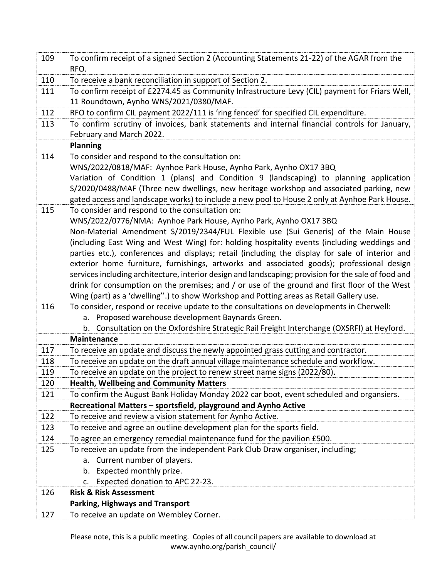| 109 | To confirm receipt of a signed Section 2 (Accounting Statements 21-22) of the AGAR from the<br>RFO.                                                                                                   |
|-----|-------------------------------------------------------------------------------------------------------------------------------------------------------------------------------------------------------|
| 110 | To receive a bank reconciliation in support of Section 2.                                                                                                                                             |
| 111 | To confirm receipt of £2274.45 as Community Infrastructure Levy (CIL) payment for Friars Well,<br>11 Roundtown, Aynho WNS/2021/0380/MAF.                                                              |
| 112 | RFO to confirm CIL payment 2022/111 is 'ring fenced' for specified CIL expenditure.                                                                                                                   |
| 113 | To confirm scrutiny of invoices, bank statements and internal financial controls for January,                                                                                                         |
|     | February and March 2022.                                                                                                                                                                              |
|     | <b>Planning</b>                                                                                                                                                                                       |
| 114 | To consider and respond to the consultation on:                                                                                                                                                       |
|     | WNS/2022/0818/MAF: Aynhoe Park House, Aynho Park, Aynho OX17 3BQ                                                                                                                                      |
|     | Variation of Condition 1 (plans) and Condition 9 (landscaping) to planning application                                                                                                                |
|     | S/2020/0488/MAF (Three new dwellings, new heritage workshop and associated parking, new                                                                                                               |
|     | gated access and landscape works) to include a new pool to House 2 only at Aynhoe Park House.                                                                                                         |
| 115 | To consider and respond to the consultation on:                                                                                                                                                       |
|     | WNS/2022/0776/NMA: Aynhoe Park House, Aynho Park, Aynho OX17 3BQ                                                                                                                                      |
|     | Non-Material Amendment S/2019/2344/FUL Flexible use (Sui Generis) of the Main House                                                                                                                   |
|     | (including East Wing and West Wing) for: holding hospitality events (including weddings and                                                                                                           |
|     | parties etc.), conferences and displays; retail (including the display for sale of interior and                                                                                                       |
|     | exterior home furniture, furnishings, artworks and associated goods); professional design                                                                                                             |
|     | services including architecture, interior design and landscaping; provision for the sale of food and<br>drink for consumption on the premises; and / or use of the ground and first floor of the West |
|     | Wing (part) as a 'dwelling".) to show Workshop and Potting areas as Retail Gallery use.                                                                                                               |
| 116 | To consider, respond or receive update to the consultations on developments in Cherwell:                                                                                                              |
|     | a. Proposed warehouse development Baynards Green.                                                                                                                                                     |
|     | b. Consultation on the Oxfordshire Strategic Rail Freight Interchange (OXSRFI) at Heyford.                                                                                                            |
|     | <b>Maintenance</b>                                                                                                                                                                                    |
| 117 | To receive an update and discuss the newly appointed grass cutting and contractor.                                                                                                                    |
| 118 | To receive an update on the draft annual village maintenance schedule and workflow.                                                                                                                   |
| 119 | To receive an update on the project to renew street name signs (2022/80).                                                                                                                             |
| 120 | <b>Health, Wellbeing and Community Matters</b>                                                                                                                                                        |
| 121 | To confirm the August Bank Holiday Monday 2022 car boot, event scheduled and organsiers.                                                                                                              |
|     | Recreational Matters - sportsfield, playground and Aynho Active                                                                                                                                       |
| 122 | To receive and review a vision statement for Aynho Active.                                                                                                                                            |
| 123 | To receive and agree an outline development plan for the sports field.                                                                                                                                |
| 124 | To agree an emergency remedial maintenance fund for the pavilion £500.                                                                                                                                |
| 125 | To receive an update from the independent Park Club Draw organiser, including;                                                                                                                        |
|     | a. Current number of players.                                                                                                                                                                         |
|     | Expected monthly prize.<br>b.                                                                                                                                                                         |
|     | Expected donation to APC 22-23.<br>c.                                                                                                                                                                 |
| 126 | <b>Risk &amp; Risk Assessment</b>                                                                                                                                                                     |
|     | <b>Parking, Highways and Transport</b>                                                                                                                                                                |
| 127 | To receive an update on Wembley Corner.                                                                                                                                                               |

Please note, this is a public meeting. Copies of all council papers are available to download at www.aynho.org/parish\_council/